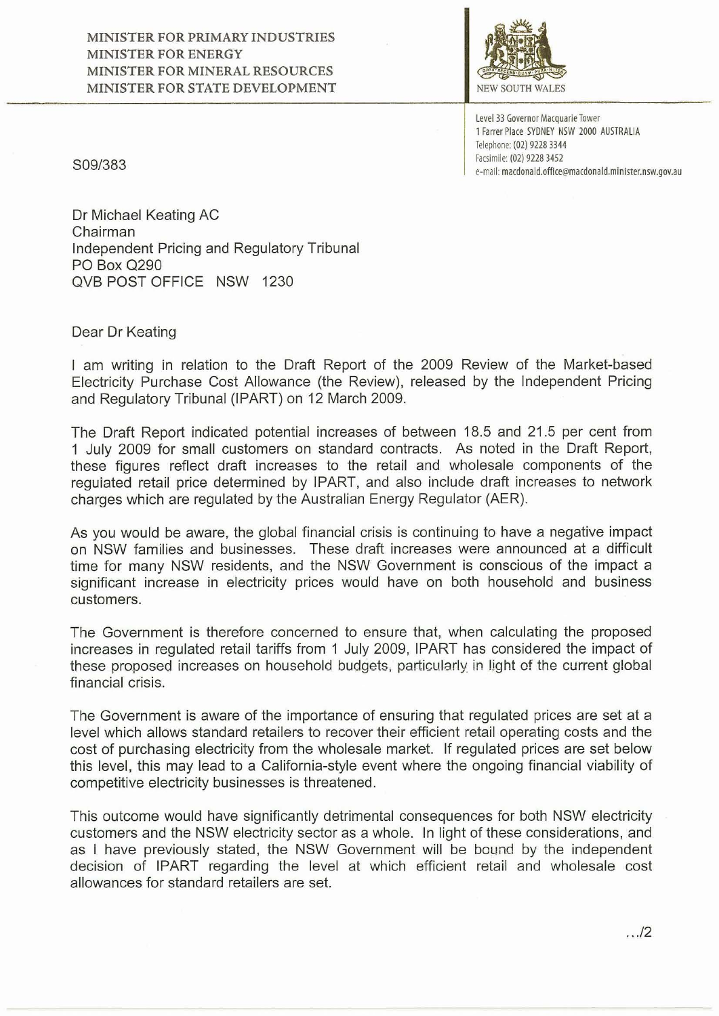

**Level 33 Governor Macquarie Tower**  , Farrer Place SYONEY NSW 2000 AUSTRALIA Telephone: (02) 9228 3344 Facsimile: (02) 9228 3452 e-mail: **macdonald.office@macdonald.minister.nsw.gov.au** 

*S09/383* 

Dr Michael Keating AC Chairman Independent Pricing and Regulatory Tribunal PO Box 0290 OVB POST OFFICE NSW 1230

Dear Dr Keating

I am writing in relation to the Draft Report of the 2009 Review of the Market-based Electricity Purchase Cost Allowance (the Review), released by the Independent Pricing and Regulatory Tribunal (IPART) on 12 March 2009.

The Draft Report indicated potential increases of between 18.5 and 21 .5 per cent from 1 July 2009 for small customers on standard contracts. As noted in the Draft Report, these figures reflect draft increases to the retail and wholesale components of the regulated retail price determined by IPART, and also include draft increases to network charges which are regulated by the Australian Energy Regulator (AER).

As you would be aware, the global financial crisis is continuing to have a negative impact on NSW families and businesses. These draft increases were announced at a difficult time for many NSW residents, and the NSW Government is conscious of the impact a significant increase in electricity prices would have on both household and business customers.

The Government is therefore concerned to ensure that, when calculating the proposed increases in regulated retail tariffs from 1 July 2009, IPART has considered the impact of these proposed increases on household budgets, particularly in light of the current global financial crisis.

The Government is aware of the importance of ensuring that regulated prices are set at a level which allows standard retailers to recover their efficient retail operating costs and the cost of purchasing electricity from the wholesale market. If regulated prices are set below this level, this may lead to a California-style event where the ongoing financial viability of competitive electricity businesses is threatened .

This outcome would have significantly detrimental consequences for both NSW electricity customers and the NSW electricity sector as a whole. In light of these considerations, and as I have previously stated, the NSW Government will be bound by the independent decision of IPART regarding the level at which efficient retail and wholesale cost allowances for standard retailers are set.